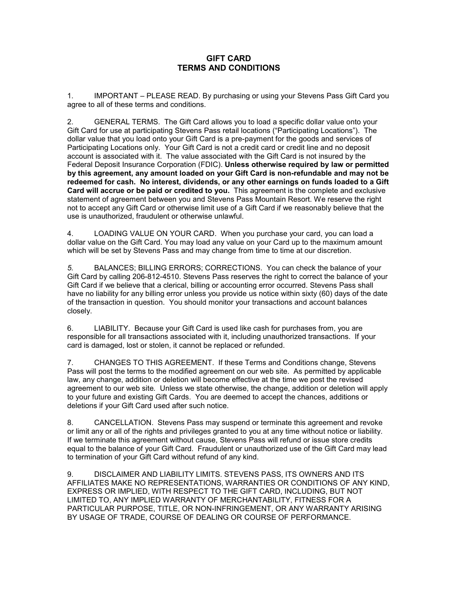## **GIFT CARD TERMS AND CONDITIONS**

1. IMPORTANT – PLEASE READ. By purchasing or using your Stevens Pass Gift Card you agree to all of these terms and conditions.

2. GENERAL TERMS. The Gift Card allows you to load a specific dollar value onto your Gift Card for use at participating Stevens Pass retail locations ("Participating Locations"). The dollar value that you load onto your Gift Card is a pre-payment for the goods and services of Participating Locations only. Your Gift Card is not a credit card or credit line and no deposit account is associated with it. The value associated with the Gift Card is not insured by the Federal Deposit Insurance Corporation (FDIC). **Unless otherwise required by law or permitted by this agreement, any amount loaded on your Gift Card is non-refundable and may not be redeemed for cash. No interest, dividends, or any other earnings on funds loaded to a Gift Card will accrue or be paid or credited to you.** This agreement is the complete and exclusive statement of agreement between you and Stevens Pass Mountain Resort. We reserve the right not to accept any Gift Card or otherwise limit use of a Gift Card if we reasonably believe that the use is unauthorized, fraudulent or otherwise unlawful.

4. LOADING VALUE ON YOUR CARD. When you purchase your card, you can load a dollar value on the Gift Card. You may load any value on your Card up to the maximum amount which will be set by Stevens Pass and may change from time to time at our discretion.

*5.* BALANCES; BILLING ERRORS; CORRECTIONS. You can check the balance of your Gift Card by calling 206-812-4510. Stevens Pass reserves the right to correct the balance of your Gift Card if we believe that a clerical, billing or accounting error occurred. Stevens Pass shall have no liability for any billing error unless you provide us notice within sixty (60) days of the date of the transaction in question. You should monitor your transactions and account balances closely.

6. LIABILITY. Because your Gift Card is used like cash for purchases from, you are responsible for all transactions associated with it, including unauthorized transactions. If your card is damaged, lost or stolen, it cannot be replaced or refunded.

7. CHANGES TO THIS AGREEMENT. If these Terms and Conditions change, Stevens Pass will post the terms to the modified agreement on our web site. As permitted by applicable law, any change, addition or deletion will become effective at the time we post the revised agreement to our web site*.* Unless we state otherwise, the change, addition or deletion will apply to your future and existing Gift Cards. You are deemed to accept the chances, additions or deletions if your Gift Card used after such notice.

8. CANCELLATION. Stevens Pass may suspend or terminate this agreement and revoke or limit any or all of the rights and privileges granted to you at any time without notice or liability. If we terminate this agreement without cause, Stevens Pass will refund or issue store credits equal to the balance of your Gift Card. Fraudulent or unauthorized use of the Gift Card may lead to termination of your Gift Card without refund of any kind.

9. DISCLAIMER AND LIABILITY LIMITS. STEVENS PASS, ITS OWNERS AND ITS AFFILIATES MAKE NO REPRESENTATIONS, WARRANTIES OR CONDITIONS OF ANY KIND, EXPRESS OR IMPLIED, WITH RESPECT TO THE GIFT CARD, INCLUDING, BUT NOT LIMITED TO, ANY IMPLIED WARRANTY OF MERCHANTABILITY, FITNESS FOR A PARTICULAR PURPOSE, TITLE, OR NON-INFRINGEMENT, OR ANY WARRANTY ARISING BY USAGE OF TRADE, COURSE OF DEALING OR COURSE OF PERFORMANCE.